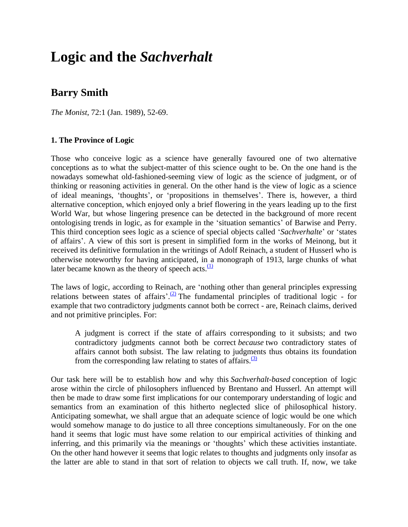# **Logic and the** *Sachverhalt*

# **Barry Smith**

*The Monist*, 72:1 (Jan. 1989), 52-69.

#### **1. The Province of Logic**

Those who conceive logic as a science have generally favoured one of two alternative conceptions as to what the subject-matter of this science ought to be. On the one hand is the nowadays somewhat old-fashioned-seeming view of logic as the science of judgment, or of thinking or reasoning activities in general. On the other hand is the view of logic as a science of ideal meanings, 'thoughts', or 'propositions in themselves'. There is, however, a third alternative conception, which enjoyed only a brief flowering in the years leading up to the first World War, but whose lingering presence can be detected in the background of more recent ontologising trends in logic, as for example in the 'situation semantics' of Barwise and Perry. This third conception sees logic as a science of special objects called '*Sachverhalte*' or 'states of affairs'. A view of this sort is present in simplified form in the works of Meinong, but it received its definitive formulation in the writings of Adolf Reinach, a student of Husserl who is otherwise noteworthy for having anticipated, in a monograph of 1913, large chunks of what later became known as the theory of speech acts. $\frac{(1)}{(1)}$  $\frac{(1)}{(1)}$  $\frac{(1)}{(1)}$ 

The laws of logic, according to Reinach, are 'nothing other than general principles expressing relations between states of affairs'.<sup>[\(2\)](http://ontology.buffalo.edu/smith/articles/logsvh.html#N_2_)</sup> The fundamental principles of traditional logic - for example that two contradictory judgments cannot both be correct - are, Reinach claims, derived and not primitive principles. For:

A judgment is correct if the state of affairs corresponding to it subsists; and two contradictory judgments cannot both be correct *because* two contradictory states of affairs cannot both subsist. The law relating to judgments thus obtains its foundation from the corresponding law relating to states of affairs. $\frac{(3)}{2}$  $\frac{(3)}{2}$  $\frac{(3)}{2}$ 

Our task here will be to establish how and why this *Sachverhalt-based* conception of logic arose within the circle of philosophers influenced by Brentano and Husserl. An attempt will then be made to draw some first implications for our contemporary understanding of logic and semantics from an examination of this hitherto neglected slice of philosophical history. Anticipating somewhat, we shall argue that an adequate science of logic would be one which would somehow manage to do justice to all three conceptions simultaneously. For on the one hand it seems that logic must have some relation to our empirical activities of thinking and inferring, and this primarily via the meanings or 'thoughts' which these activities instantiate. On the other hand however it seems that logic relates to thoughts and judgments only insofar as the latter are able to stand in that sort of relation to objects we call truth. If, now, we take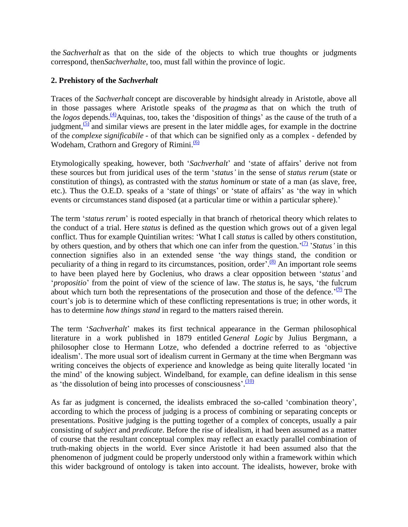the *Sachverhalt* as that on the side of the objects to which true thoughts or judgments correspond, then*Sachverhalte*, too, must fall within the province of logic.

# **2. Prehistory of the** *Sachverhalt*

Traces of the *Sachverhalt* concept are discoverable by hindsight already in Aristotle, above all in those passages where Aristotle speaks of the *pragma* as that on which the truth of the *logos* depends.<sup>[\(4\)](http://ontology.buffalo.edu/smith/articles/logsvh.html#N_4_)</sup>Aquinas, too, takes the 'disposition of things' as the cause of the truth of a judgment,  $\frac{(5)}{2}$  $\frac{(5)}{2}$  $\frac{(5)}{2}$  and similar views are present in the later middle ages, for example in the doctrine of the *complexe significabile* - of that which can be signified only as a complex - defended by Wodeham, Crathorn and Gregory of Rimini.<sup>[\(6\)](http://ontology.buffalo.edu/smith/articles/logsvh.html#N_6_)</sup>

Etymologically speaking, however, both '*Sachverhalt*' and 'state of affairs' derive not from these sources but from juridical uses of the term '*status'* in the sense of *status rerum* (state or constitution of things), as contrasted with the *status hominum* or state of a man (as slave, free, etc.). Thus the O.E.D. speaks of a 'state of things' or 'state of affairs' as 'the way in which events or circumstances stand disposed (at a particular time or within a particular sphere).'

The term '*status rerum*' is rooted especially in that branch of rhetorical theory which relates to the conduct of a trial. Here *status* is defined as the question which grows out of a given legal conflict. Thus for example Quintilian writes: 'What I call *status* is called by others constitution, by others question, and by others that which one can infer from the question.<sup>'(1)</sup> '*Status'* in this connection signifies also in an extended sense 'the way things stand, the condition or peculiarity of a thing in regard to its circumstances, position, order<sup>7</sup>.<sup>[\(8\)](http://ontology.buffalo.edu/smith/articles/logsvh.html#N_8_)</sup> An important role seems to have been played here by Goclenius, who draws a clear opposition between '*status'* and '*propositio*' from the point of view of the science of law. The *status* is, he says, 'the fulcrum about which turn both the representations of the prosecution and those of the defence.<sup> $(9)$ </sup> The court's job is to determine which of these conflicting representations is true; in other words, it has to determine *how things stand* in regard to the matters raised therein.

The term '*Sachverhalt*' makes its first technical appearance in the German philosophical literature in a work published in 1879 entitled *General Logic* by Julius Bergmann, a philosopher close to Hermann Lotze, who defended a doctrine referred to as 'objective idealism'. The more usual sort of idealism current in Germany at the time when Bergmann was writing conceives the objects of experience and knowledge as being quite literally located 'in the mind' of the knowing subject. Windelband, for example, can define idealism in this sense as 'the dissolution of being into processes of consciousness'. $\frac{(10)}{2}$  $\frac{(10)}{2}$  $\frac{(10)}{2}$ 

As far as judgment is concerned, the idealists embraced the so-called 'combination theory', according to which the process of judging is a process of combining or separating concepts or presentations. Positive judging is the putting together of a complex of concepts, usually a pair consisting of *subject* and *predicate*. Before the rise of idealism, it had been assumed as a matter of course that the resultant conceptual complex may reflect an exactly parallel combination of truth-making objects in the world. Ever since Aristotle it had been assumed also that the phenomenon of judgment could be properly understood only within a framework within which this wider background of ontology is taken into account. The idealists, however, broke with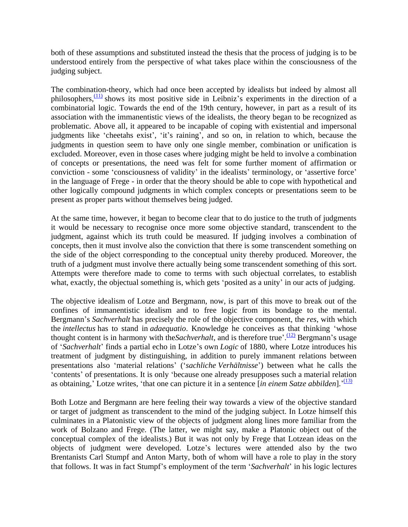both of these assumptions and substituted instead the thesis that the process of judging is to be understood entirely from the perspective of what takes place within the consciousness of the judging subject.

The combination-theory, which had once been accepted by idealists but indeed by almost all philosophers, $\frac{(11)}{11}$  $\frac{(11)}{11}$  $\frac{(11)}{11}$  shows its most positive side in Leibniz's experiments in the direction of a combinatorial logic. Towards the end of the 19th century, however, in part as a result of its association with the immanentistic views of the idealists, the theory began to be recognized as problematic. Above all, it appeared to be incapable of coping with existential and impersonal judgments like 'cheetahs exist', 'it's raining', and so on, in relation to which, because the judgments in question seem to have only one single member, combination or unification is excluded. Moreover, even in those cases where judging might be held to involve a combination of concepts or presentations, the need was felt for some further moment of affirmation or conviction - some 'consciousness of validity' in the idealists' terminology, or 'assertive force' in the language of Frege - in order that the theory should be able to cope with hypothetical and other logically compound judgments in which complex concepts or presentations seem to be present as proper parts without themselves being judged.

At the same time, however, it began to become clear that to do justice to the truth of judgments it would be necessary to recognise once more some objective standard, transcendent to the judgment, against which its truth could be measured. If judging involves a combination of concepts, then it must involve also the conviction that there is some transcendent something on the side of the object corresponding to the conceptual unity thereby produced. Moreover, the truth of a judgment must involve there actually being some transcendent something of this sort. Attempts were therefore made to come to terms with such objectual correlates, to establish what, exactly, the objectual something is, which gets 'posited as a unity' in our acts of judging.

The objective idealism of Lotze and Bergmann, now, is part of this move to break out of the confines of immanentistic idealism and to free logic from its bondage to the mental. Bergmann's *Sachverhalt* has precisely the role of the objective component, the *res*, with which the *intellectus* has to stand in *adaequatio*. Knowledge he conceives as that thinking 'whose thought content is in harmony with the*Sachverhalt*, and is therefore true'. [\(12\)](http://ontology.buffalo.edu/smith/articles/logsvh.html#N_12_) Bergmann's usage of '*Sachverhalt*' finds a partial echo in Lotze's own *Logic* of 1880, where Lotze introduces his treatment of judgment by distinguishing, in addition to purely immanent relations between presentations also 'material relations' ('*sachliche Verhältnisse*') between what he calls the 'contents' of presentations. It is only 'because one already presupposes such a material relation as obtaining,<sup>5</sup> Lotze writes, 'that one can picture it in a sentence [*in einem Satze abbilden*].<sup>2</sup>[\(13\)](http://ontology.buffalo.edu/smith/articles/logsvh.html#N_13_)

Both Lotze and Bergmann are here feeling their way towards a view of the objective standard or target of judgment as transcendent to the mind of the judging subject. In Lotze himself this culminates in a Platonistic view of the objects of judgment along lines more familiar from the work of Bolzano and Frege. (The latter, we might say, make a Platonic object out of the conceptual complex of the idealists.) But it was not only by Frege that Lotzean ideas on the objects of judgment were developed. Lotze's lectures were attended also by the two Brentanists Carl Stumpf and Anton Marty, both of whom will have a role to play in the story that follows. It was in fact Stumpf's employment of the term '*Sachverhalt*' in his logic lectures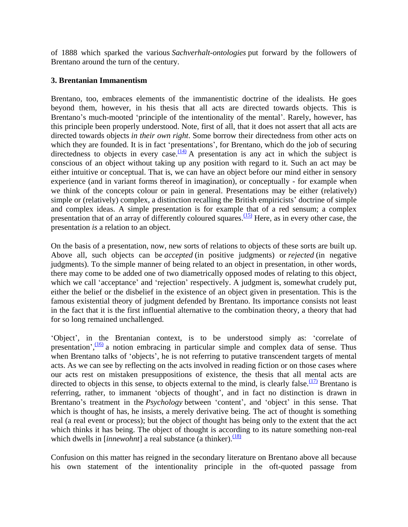of 1888 which sparked the various *Sachverhalt-ontologies* put forward by the followers of Brentano around the turn of the century.

## **3. Brentanian Immanentism**

Brentano, too, embraces elements of the immanentistic doctrine of the idealists. He goes beyond them, however, in his thesis that all acts are directed towards objects. This is Brentano's much-mooted 'principle of the intentionality of the mental'. Rarely, however, has this principle been properly understood. Note, first of all, that it does not assert that all acts are directed towards objects *in their own right*. Some borrow their directedness from other acts on which they are founded. It is in fact 'presentations', for Brentano, which do the job of securing directedness to objects in every case. $\frac{(14)}{4}$  $\frac{(14)}{4}$  $\frac{(14)}{4}$  A presentation is any act in which the subject is conscious of an object without taking up any position with regard to it. Such an act may be either intuitive or conceptual. That is, we can have an object before our mind either in sensory experience (and in variant forms thereof in imagination), or conceptually - for example when we think of the concepts colour or pain in general. Presentations may be either (relatively) simple or (relatively) complex, a distinction recalling the British empiricists' doctrine of simple and complex ideas. A simple presentation is for example that of a red sensum; a complex presentation that of an array of differently coloured squares.<sup>[\(15\)](http://ontology.buffalo.edu/smith/articles/logsvh.html#N_15_)</sup> Here, as in every other case, the presentation *is* a relation to an object.

On the basis of a presentation, now, new sorts of relations to objects of these sorts are built up. Above all, such objects can be *accepted* (in positive judgments) or *rejected* (in negative judgments). To the simple manner of being related to an object in presentation, in other words, there may come to be added one of two diametrically opposed modes of relating to this object, which we call 'acceptance' and 'rejection' respectively. A judgment is, somewhat crudely put, either the belief or the disbelief in the existence of an object given in presentation. This is the famous existential theory of judgment defended by Brentano. Its importance consists not least in the fact that it is the first influential alternative to the combination theory, a theory that had for so long remained unchallenged.

'Object', in the Brentanian context, is to be understood simply as: 'correlate of presentation', <sup>[\(16\)](http://ontology.buffalo.edu/smith/articles/logsvh.html#N_16_)</sup> a notion embracing in particular simple and complex data of sense. Thus when Brentano talks of 'objects', he is not referring to putative transcendent targets of mental acts. As we can see by reflecting on the acts involved in reading fiction or on those cases where our acts rest on mistaken presuppositions of existence, the thesis that all mental acts are directed to objects in this sense, to objects external to the mind, is clearly false. $\frac{(17)}{12}$  $\frac{(17)}{12}$  $\frac{(17)}{12}$  Brentano is referring, rather, to immanent 'objects of thought', and in fact no distinction is drawn in Brentano's treatment in the *Psychology* between 'content', and 'object' in this sense. That which is thought of has, he insists, a merely derivative being. The act of thought is something real (a real event or process); but the object of thought has being only to the extent that the act which thinks it has being. The object of thought is according to its nature something non-real which dwells in  $[inner]$  a real substance (a thinker).  $\frac{(18)}{(18)}$  $\frac{(18)}{(18)}$  $\frac{(18)}{(18)}$ 

Confusion on this matter has reigned in the secondary literature on Brentano above all because his own statement of the intentionality principle in the oft-quoted passage from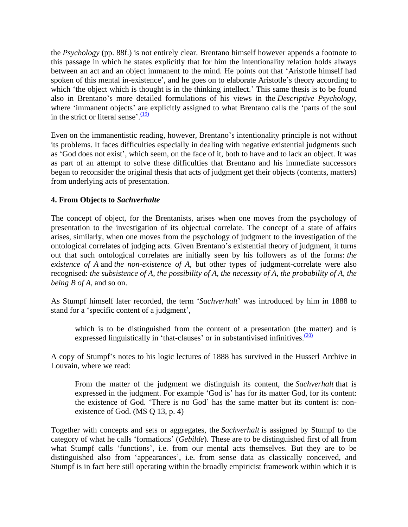the *Psychology* (pp. 88f.) is not entirely clear. Brentano himself however appends a footnote to this passage in which he states explicitly that for him the intentionality relation holds always between an act and an object immanent to the mind. He points out that 'Aristotle himself had spoken of this mental in-existence', and he goes on to elaborate Aristotle's theory according to which 'the object which is thought is in the thinking intellect.' This same thesis is to be found also in Brentano's more detailed formulations of his views in the *Descriptive Psychology*, where 'immanent objects' are explicitly assigned to what Brentano calls the 'parts of the soul in the strict or literal sense'. $\frac{(19)}{2}$  $\frac{(19)}{2}$  $\frac{(19)}{2}$ 

Even on the immanentistic reading, however, Brentano's intentionality principle is not without its problems. It faces difficulties especially in dealing with negative existential judgments such as 'God does not exist', which seem, on the face of it, both to have and to lack an object. It was as part of an attempt to solve these difficulties that Brentano and his immediate successors began to reconsider the original thesis that acts of judgment get their objects (contents, matters) from underlying acts of presentation.

## **4. From Objects to** *Sachverhalte*

The concept of object, for the Brentanists, arises when one moves from the psychology of presentation to the investigation of its objectual correlate. The concept of a state of affairs arises, similarly, when one moves from the psychology of judgment to the investigation of the ontological correlates of judging acts. Given Brentano's existential theory of judgment, it turns out that such ontological correlates are initially seen by his followers as of the forms: *the existence of A* and *the non-existence of A*, but other types of judgment-correlate were also recognised: *the subsistence of A, the possibility of A, the necessity of A, the probability of A, the being B of A*, and so on.

As Stumpf himself later recorded, the term '*Sachverhalt*' was introduced by him in 1888 to stand for a 'specific content of a judgment',

which is to be distinguished from the content of a presentation (the matter) and is expressed linguistically in 'that-clauses' or in substantivised infinitives.<sup>[\(20\)](http://ontology.buffalo.edu/smith/articles/logsvh.html#N_20_)</sup>

A copy of Stumpf's notes to his logic lectures of 1888 has survived in the Husserl Archive in Louvain, where we read:

From the matter of the judgment we distinguish its content, the *Sachverhalt* that is expressed in the judgment. For example 'God is' has for its matter God, for its content: the existence of God. 'There is no God' has the same matter but its content is: nonexistence of God. (MS Q 13, p. 4)

Together with concepts and sets or aggregates, the *Sachverhalt* is assigned by Stumpf to the category of what he calls 'formations' (*Gebilde*). These are to be distinguished first of all from what Stumpf calls 'functions', i.e. from our mental acts themselves. But they are to be distinguished also from 'appearances', i.e. from sense data as classically conceived, and Stumpf is in fact here still operating within the broadly empiricist framework within which it is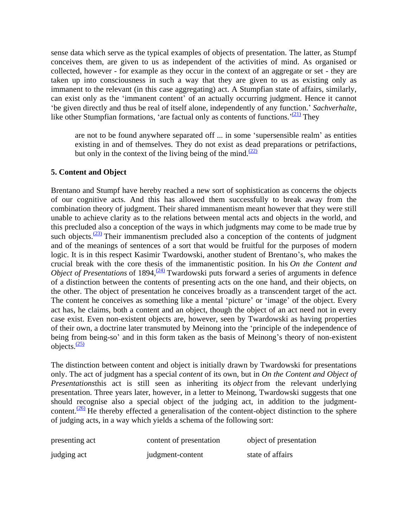sense data which serve as the typical examples of objects of presentation. The latter, as Stumpf conceives them, are given to us as independent of the activities of mind. As organised or collected, however - for example as they occur in the context of an aggregate or set - they are taken up into consciousness in such a way that they are given to us as existing only as immanent to the relevant (in this case aggregating) act. A Stumpfian state of affairs, similarly, can exist only as the 'immanent content' of an actually occurring judgment. Hence it cannot 'be given directly and thus be real of itself alone, independently of any function.' *Sachverhalte*, like other Stumpfian formations, 'are factual only as contents of functions.<sup>'[\(21\)](http://ontology.buffalo.edu/smith/articles/logsvh.html#N_21_)</sup> They

are not to be found anywhere separated off ... in some 'supersensible realm' as entities existing in and of themselves. They do not exist as dead preparations or petrifactions, but only in the context of the living being of the mind. $\frac{(22)}{2}$  $\frac{(22)}{2}$  $\frac{(22)}{2}$ 

#### **5. Content and Object**

Brentano and Stumpf have hereby reached a new sort of sophistication as concerns the objects of our cognitive acts. And this has allowed them successfully to break away from the combination theory of judgment. Their shared immanentism meant however that they were still unable to achieve clarity as to the relations between mental acts and objects in the world, and this precluded also a conception of the ways in which judgments may come to be made true by such objects. $(23)$  Their immanentism precluded also a conception of the contents of judgment and of the meanings of sentences of a sort that would be fruitful for the purposes of modern logic. It is in this respect Kasimir Twardowski, another student of Brentano's, who makes the crucial break with the core thesis of the immanentistic position. In his *On the Content and Object of Presentations* of 1894, $\frac{(24)}{4}$  $\frac{(24)}{4}$  $\frac{(24)}{4}$  Twardowski puts forward a series of arguments in defence of a distinction between the contents of presenting acts on the one hand, and their objects, on the other. The object of presentation he conceives broadly as a transcendent target of the act. The content he conceives as something like a mental 'picture' or 'image' of the object. Every act has, he claims, both a content and an object, though the object of an act need not in every case exist. Even non-existent objects are, however, seen by Twardowski as having properties of their own, a doctrine later transmuted by Meinong into the 'principle of the independence of being from being-so' and in this form taken as the basis of Meinong's theory of non-existent objects. $\frac{(25)}{25}$  $\frac{(25)}{25}$  $\frac{(25)}{25}$ 

The distinction between content and object is initially drawn by Twardowski for presentations only. The act of judgment has a special *content* of its own, but in *On the Content and Object of Presentations*this act is still seen as inheriting its *object* from the relevant underlying presentation. Three years later, however, in a letter to Meinong, Twardowski suggests that one should recognise also a special object of the judging act, in addition to the judgmentcontent.<sup> $(26)$ </sup> He thereby effected a generalisation of the content-object distinction to the sphere of judging acts, in a way which yields a schema of the following sort:

| presenting act | content of presentation | object of presentation |
|----------------|-------------------------|------------------------|
| judging act    | judgment-content        | state of affairs       |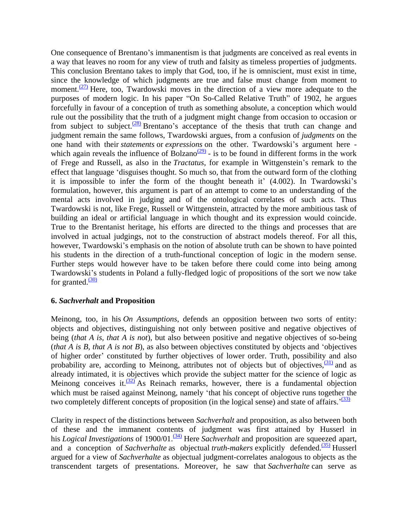One consequence of Brentano's immanentism is that judgments are conceived as real events in a way that leaves no room for any view of truth and falsity as timeless properties of judgments. This conclusion Brentano takes to imply that God, too, if he is omniscient, must exist in time, since the knowledge of which judgments are true and false must change from moment to moment.<sup> $(27)$ </sup> Here, too, Twardowski moves in the direction of a view more adequate to the purposes of modern logic. In his paper "On So-Called Relative Truth" of 1902, he argues forcefully in favour of a conception of truth as something absolute, a conception which would rule out the possibility that the truth of a judgment might change from occasion to occasion or from subject to subject.<sup> $(28)$ </sup> Brentano's acceptance of the thesis that truth can change and judgment remain the same follows, Twardowski argues, from a confusion of *judgments* on the one hand with their *statements* or *expressions* on the other. Twardowski's argument here which again reveals the influence of Bolzano $\frac{(29)}{2}$  $\frac{(29)}{2}$  $\frac{(29)}{2}$  - is to be found in different forms in the work of Frege and Russell, as also in the *Tractatus*, for example in Wittgenstein's remark to the effect that language 'disguises thought. So much so, that from the outward form of the clothing it is impossible to infer the form of the thought beneath it' (4.002). In Twardowski's formulation, however, this argument is part of an attempt to come to an understanding of the mental acts involved in judging and of the ontological correlates of such acts. Thus Twardowski is not, like Frege, Russell or Wittgenstein, attracted by the more ambitious task of building an ideal or artificial language in which thought and its expression would coincide. True to the Brentanist heritage, his efforts are directed to the things and processes that are involved in actual judgings, not to the construction of abstract models thereof. For all this, however, Twardowski's emphasis on the notion of absolute truth can be shown to have pointed his students in the direction of a truth-functional conception of logic in the modern sense. Further steps would however have to be taken before there could come into being among Twardowski's students in Poland a fully-fledged logic of propositions of the sort we now take for granted. $\frac{(30)}{20}$  $\frac{(30)}{20}$  $\frac{(30)}{20}$ 

#### **6.** *Sachverhalt* **and Proposition**

Meinong, too, in his *On Assumptions*, defends an opposition between two sorts of entity: objects and objectives, distinguishing not only between positive and negative objectives of being (*that A is, that A is not*), but also between positive and negative objectives of so-being (*that A is B, that A is not B*), as also between objectives constituted by objects and 'objectives of higher order' constituted by further objectives of lower order. Truth, possibility and also probability are, according to Meinong, attributes not of objects but of objectives,  $(31)$  and as already intimated, it is objectives which provide the subject matter for the science of logic as Meinong conceives it.<sup> $(32)$ </sup> As Reinach remarks, however, there is a fundamental objection which must be raised against Meinong, namely 'that his concept of objective runs together the two completely different concepts of proposition (in the logical sense) and state of affairs.<sup>333</sup>

Clarity in respect of the distinctions between *Sachverhalt* and proposition, as also between both of these and the immanent contents of judgment was first attained by Husserl in his *Logical Investigations* of 1900/01.<sup>[\(34\)](http://ontology.buffalo.edu/smith/articles/logsvh.html#N_34_)</sup> Here *Sachverhalt* and proposition are squeezed apart, and a conception of *Sachverhalte* as objectual *truth-makers* explicitly defended.<sup>[\(35\)](http://ontology.buffalo.edu/smith/articles/logsvh.html#N_35_)</sup> Husserl argued for a view of *Sachverhalte* as objectual judgment-correlates analogous to objects as the transcendent targets of presentations. Moreover, he saw that *Sachverhalte* can serve as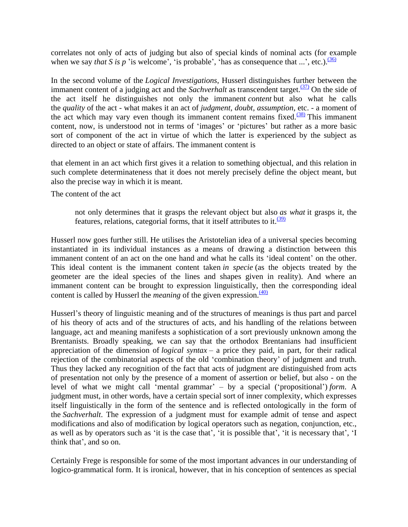correlates not only of acts of judging but also of special kinds of nominal acts (for example when we say *that* S is p 'is welcome', 'is probable', 'has as consequence that ...', etc.). $\frac{(36)}{(36)}$  $\frac{(36)}{(36)}$  $\frac{(36)}{(36)}$ 

In the second volume of the *Logical Investigations*, Husserl distinguishes further between the immanent content of a judging act and the *Sachverhalt* as transcendent target.<sup>[\(37\)](http://ontology.buffalo.edu/smith/articles/logsvh.html#N_37_)</sup> On the side of the act itself he distinguishes not only the immanent *content* but also what he calls the *quality* of the act - what makes it an act of *judgment, doubt, assumption*, etc. - a moment of the act which may vary even though its immanent content remains fixed.<sup> $(38)$ </sup> This immanent content, now, is understood not in terms of 'images' or 'pictures' but rather as a more basic sort of component of the act in virtue of which the latter is experienced by the subject as directed to an object or state of affairs. The immanent content is

that element in an act which first gives it a relation to something objectual, and this relation in such complete determinateness that it does not merely precisely define the object meant, but also the precise way in which it is meant.

The content of the act

not only determines that it grasps the relevant object but also *as what* it grasps it, the features, relations, categorial forms, that it itself attributes to it.  $(39)$ 

Husserl now goes further still. He utilises the Aristotelian idea of a universal species becoming instantiated in its individual instances as a means of drawing a distinction between this immanent content of an act on the one hand and what he calls its 'ideal content' on the other. This ideal content is the immanent content taken *in specie* (as the objects treated by the geometer are the ideal species of the lines and shapes given in reality). And where an immanent content can be brought to expression linguistically, then the corresponding ideal content is called by Husserl the *meaning* of the given expression.<sup> $(40)$ </sup>

Husserl's theory of linguistic meaning and of the structures of meanings is thus part and parcel of his theory of acts and of the structures of acts, and his handling of the relations between language, act and meaning manifests a sophistication of a sort previously unknown among the Brentanists. Broadly speaking, we can say that the orthodox Brentanians had insufficient appreciation of the dimension of *logical syntax* – a price they paid, in part, for their radical rejection of the combinatorial aspects of the old 'combination theory' of judgment and truth. Thus they lacked any recognition of the fact that acts of judgment are distinguished from acts of presentation not only by the presence of a moment of assertion or belief, but also - on the level of what we might call 'mental grammar' – by a special ('propositional') *form*. A judgment must, in other words, have a certain special sort of inner complexity, which expresses itself linguistically in the form of the sentence and is reflected ontologically in the form of the *Sachverhalt*. The expression of a judgment must for example admit of tense and aspect modifications and also of modification by logical operators such as negation, conjunction, etc., as well as by operators such as 'it is the case that', 'it is possible that', 'it is necessary that', 'I think that', and so on.

Certainly Frege is responsible for some of the most important advances in our understanding of logico-grammatical form. It is ironical, however, that in his conception of sentences as special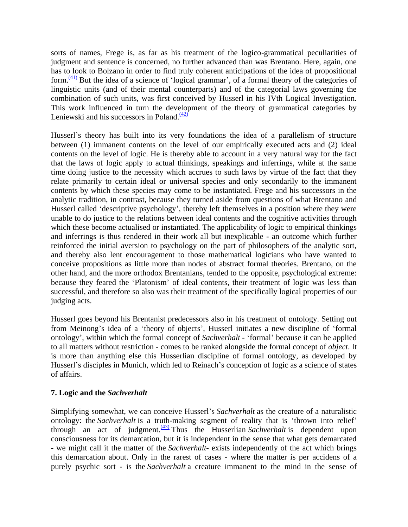sorts of names, Frege is, as far as his treatment of the logico-grammatical peculiarities of judgment and sentence is concerned, no further advanced than was Brentano. Here, again, one has to look to Bolzano in order to find truly coherent anticipations of the idea of propositional form.[\(41\)](http://ontology.buffalo.edu/smith/articles/logsvh.html#N_41_) But the idea of a science of 'logical grammar', of a formal theory of the categories of linguistic units (and of their mental counterparts) and of the categorial laws governing the combination of such units, was first conceived by Husserl in his IVth Logical Investigation. This work influenced in turn the development of the theory of grammatical categories by Leniewski and his successors in Poland. $\frac{(42)}{2}$  $\frac{(42)}{2}$  $\frac{(42)}{2}$ 

Husserl's theory has built into its very foundations the idea of a parallelism of structure between (1) immanent contents on the level of our empirically executed acts and (2) ideal contents on the level of logic. He is thereby able to account in a very natural way for the fact that the laws of logic apply to actual thinkings, speakings and inferrings, while at the same time doing justice to the necessity which accrues to such laws by virtue of the fact that they relate primarily to certain ideal or universal species and only secondarily to the immanent contents by which these species may come to be instantiated. Frege and his successors in the analytic tradition, in contrast, because they turned aside from questions of what Brentano and Husserl called 'descriptive psychology', thereby left themselves in a position where they were unable to do justice to the relations between ideal contents and the cognitive activities through which these become actualised or instantiated. The applicability of logic to empirical thinkings and inferrings is thus rendered in their work all but inexplicable - an outcome which further reinforced the initial aversion to psychology on the part of philosophers of the analytic sort, and thereby also lent encouragement to those mathematical logicians who have wanted to conceive propositions as little more than nodes of abstract formal theories. Brentano, on the other hand, and the more orthodox Brentanians, tended to the opposite, psychological extreme: because they feared the 'Platonism' of ideal contents, their treatment of logic was less than successful, and therefore so also was their treatment of the specifically logical properties of our judging acts.

Husserl goes beyond his Brentanist predecessors also in his treatment of ontology. Setting out from Meinong's idea of a 'theory of objects', Husserl initiates a new discipline of 'formal ontology', within which the formal concept of *Sachverhalt* - 'formal' because it can be applied to all matters without restriction - comes to be ranked alongside the formal concept of *object*. It is more than anything else this Husserlian discipline of formal ontology, as developed by Husserl's disciples in Munich, which led to Reinach's conception of logic as a science of states of affairs.

#### **7. Logic and the** *Sachverhalt*

Simplifying somewhat, we can conceive Husserl's *Sachverhalt* as the creature of a naturalistic ontology: the *Sachverhalt* is a truth-making segment of reality that is 'thrown into relief' through an act of judgment. $\frac{(43)}{10}$  $\frac{(43)}{10}$  $\frac{(43)}{10}$  Thus the Husserlian *Sachverhalt* is dependent upon consciousness for its demarcation, but it is independent in the sense that what gets demarcated - we might call it the matter of the *Sachverhalt*- exists independently of the act which brings this demarcation about. Only in the rarest of cases - where the matter is per accidens of a purely psychic sort - is the *Sachverhalt* a creature immanent to the mind in the sense of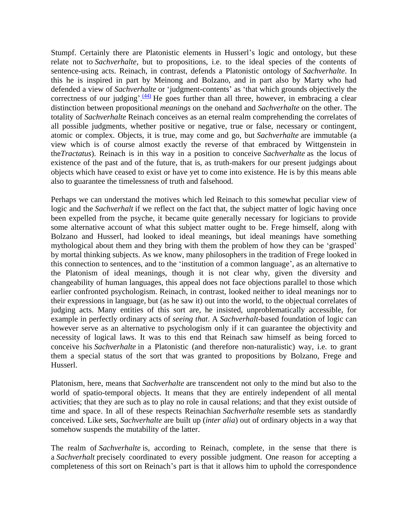Stumpf. Certainly there are Platonistic elements in Husserl's logic and ontology, but these relate not to *Sachverhalte*, but to propositions, i.e. to the ideal species of the contents of sentence-using acts. Reinach, in contrast, defends a Platonistic ontology of *Sachverhalte*. In this he is inspired in part by Meinong and Bolzano, and in part also by Marty who had defended a view of *Sachverhalte* or 'judgment-contents' as 'that which grounds objectively the correctness of our judging'. $\frac{(44)}{4}$  $\frac{(44)}{4}$  $\frac{(44)}{4}$  He goes further than all three, however, in embracing a clear distinction between propositional *meanings* on the onehand and *Sachverhalte* on the other. The totality of *Sachverhalte* Reinach conceives as an eternal realm comprehending the correlates of all possible judgments, whether positive or negative, true or false, necessary or contingent, atomic or complex. Objects, it is true, may come and go, but *Sachverhalte* are immutable (a view which is of course almost exactly the reverse of that embraced by Wittgenstein in the*Tractatus*). Reinach is in this way in a position to conceive *Sachverhalte* as the locus of existence of the past and of the future, that is, as truth-makers for our present judgings about objects which have ceased to exist or have yet to come into existence. He is by this means able also to guarantee the timelessness of truth and falsehood.

Perhaps we can understand the motives which led Reinach to this somewhat peculiar view of logic and the *Sachverhalt* if we reflect on the fact that, the subject matter of logic having once been expelled from the psyche, it became quite generally necessary for logicians to provide some alternative account of what this subject matter ought to be. Frege himself, along with Bolzano and Husserl, had looked to ideal meanings, but ideal meanings have something mythological about them and they bring with them the problem of how they can be 'grasped' by mortal thinking subjects. As we know, many philosophers in the tradition of Frege looked in this connection to sentences, and to the 'institution of a common language', as an alternative to the Platonism of ideal meanings, though it is not clear why, given the diversity and changeability of human languages, this appeal does not face objections parallel to those which earlier confronted psychologism. Reinach, in contrast, looked neither to ideal meanings nor to their expressions in language, but (as he saw it) out into the world, to the objectual correlates of judging acts. Many entities of this sort are, he insisted, unproblematically accessible, for example in perfectly ordinary acts of *seeing that*. A *Sachverhalt*-based foundation of logic can however serve as an alternative to psychologism only if it can guarantee the objectivity and necessity of logical laws. It was to this end that Reinach saw himself as being forced to conceive his *Sachverhalte* in a Platonistic (and therefore non-naturalistic) way, i.e. to grant them a special status of the sort that was granted to propositions by Bolzano, Frege and Husserl.

Platonism, here, means that *Sachverhalte* are transcendent not only to the mind but also to the world of spatio-temporal objects. It means that they are entirely independent of all mental activities; that they are such as to play no role in causal relations; and that they exist outside of time and space. In all of these respects Reinachian *Sachverhalte* resemble sets as standardly conceived. Like sets, *Sachverhalte* are built up (*inter alia*) out of ordinary objects in a way that somehow suspends the mutability of the latter.

The realm of *Sachverhalte* is, according to Reinach, complete, in the sense that there is a *Sachverhalt* precisely coordinated to every possible judgment. One reason for accepting a completeness of this sort on Reinach's part is that it allows him to uphold the correspondence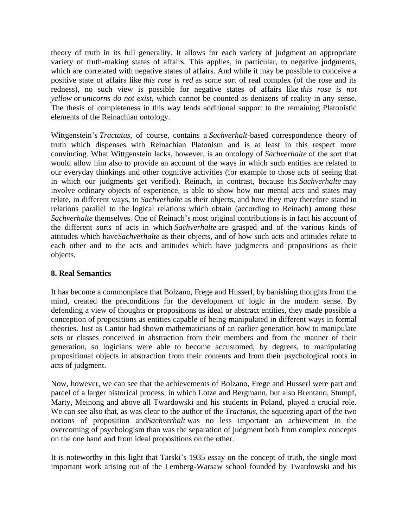theory of truth in its full generality. It allows for each variety of judgment an appropriate variety of truth-making states of affairs. This applies, in particular, to negative judgments, which are correlated with negative states of affairs. And while it may be possible to conceive a positive state of affairs like *this rose is red* as some sort of real complex (of the rose and its redness), no such view is possible for negative states of affairs like *this rose is not yellow* or *unicorns do not exist*, which cannot be counted as denizens of reality in any sense. The thesis of completeness in this way lends additional support to the remaining Platonistic elements of the Reinachian ontology.

Wittgenstein's *Tractatus*, of course, contains a *Sachverhalt*-based correspondence theory of truth which dispenses with Reinachian Platonism and is at least in this respect more convincing. What Wittgenstein lacks, however, is an ontology of *Sachverhalte* of the sort that would allow him also to provide an account of the ways in which such entities are related to our everyday thinkings and other cognitive activities (for example to those acts of seeing that in which our judgments get verified). Reinach, in contrast, because his *Sachverhalte* may involve ordinary objects of experience, is able to show how our mental acts and states may relate, in different ways, to *Sachverhalte* as their objects, and how they may therefore stand in relations parallel to the logical relations which obtain (according to Reinach) among these *Sachverhalte* themselves. One of Reinach's most original contributions is in fact his account of the different sorts of acts in which *Sachverhalte* are grasped and of the various kinds of attitudes which have*Sachverhalte* as their objects, and of how such acts and attitudes relate to each other and to the acts and attitudes which have judgments and propositions as their objects.

# **8. Real Semantics**

It has become a commonplace that Bolzano, Frege and Husserl, by banishing thoughts from the mind, created the preconditions for the development of logic in the modern sense. By defending a view of thoughts or propositions as ideal or abstract entities, they made possible a conception of propositions as entities capable of being manipulated in different ways in formal theories. Just as Cantor had shown mathematicians of an earlier generation how to manipulate sets or classes conceived in abstraction from their members and from the manner of their generation, so logicians were able to become accustomed, by degrees, to manipulating propositional objects in abstraction from their contents and from their psychological roots in acts of judgment.

Now, however, we can see that the achievements of Bolzano, Frege and Husserl were part and parcel of a larger historical process, in which Lotze and Bergmann, but also Brentano, Stumpf, Marty, Meinong and above all Twardowski and his students in Poland, played a crucial role. We can see also that, as was clear to the author of the *Tractatus*, the squeezing apart of the two notions of proposition and*Sachverhalt* was no less important an achievement in the overcoming of psychologism than was the separation of judgment both from complex concepts on the one hand and from ideal propositions on the other.

It is noteworthy in this light that Tarski's 1935 essay on the concept of truth, the single most important work arising out of the Lemberg-Warsaw school founded by Twardowski and his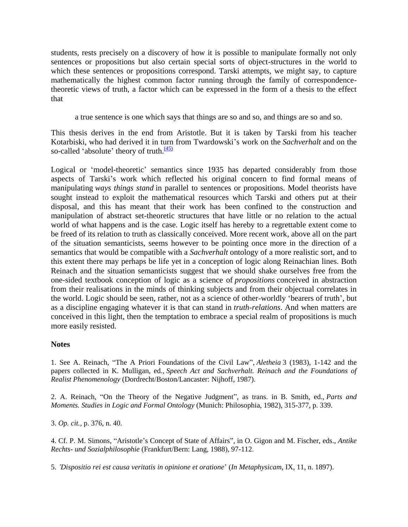students, rests precisely on a discovery of how it is possible to manipulate formally not only sentences or propositions but also certain special sorts of object-structures in the world to which these sentences or propositions correspond. Tarski attempts, we might say, to capture mathematically the highest common factor running through the family of correspondencetheoretic views of truth, a factor which can be expressed in the form of a thesis to the effect that

a true sentence is one which says that things are so and so, and things are so and so.

This thesis derives in the end from Aristotle. But it is taken by Tarski from his teacher Kotarbiski, who had derived it in turn from Twardowski's work on the *Sachverhalt* and on the so-called 'absolute' theory of truth. $\frac{(45)}{2}$  $\frac{(45)}{2}$  $\frac{(45)}{2}$ 

Logical or 'model-theoretic' semantics since 1935 has departed considerably from those aspects of Tarski's work which reflected his original concern to find formal means of manipulating *ways things stand* in parallel to sentences or propositions. Model theorists have sought instead to exploit the mathematical resources which Tarski and others put at their disposal, and this has meant that their work has been confined to the construction and manipulation of abstract set-theoretic structures that have little or no relation to the actual world of what happens and is the case. Logic itself has hereby to a regrettable extent come to be freed of its relation to truth as classically conceived. More recent work, above all on the part of the situation semanticists, seems however to be pointing once more in the direction of a semantics that would be compatible with a *Sachverhalt* ontology of a more realistic sort, and to this extent there may perhaps be life yet in a conception of logic along Reinachian lines. Both Reinach and the situation semanticists suggest that we should shake ourselves free from the one-sided textbook conception of logic as a science of *propositions* conceived in abstraction from their realisations in the minds of thinking subjects and from their objectual correlates in the world. Logic should be seen, rather, not as a science of other-worldly 'bearers of truth', but as a discipline engaging whatever it is that can stand in *truth-relations*. And when matters are conceived in this light, then the temptation to embrace a special realm of propositions is much more easily resisted.

#### **Notes**

1. See A. Reinach, "The A Priori Foundations of the Civil Law", *Aletheia* 3 (1983), 1-142 and the papers collected in K. Mulligan, ed., *Speech Act and Sachverhalt. Reinach and the Foundations of Realist Phenomenology* (Dordrecht/Boston/Lancaster: Nijhoff, 1987).

2. A. Reinach, "On the Theory of the Negative Judgment", as trans. in B. Smith, ed., *Parts and Moments. Studies in Logic and Formal Ontology* (Munich: Philosophia, 1982), 315-377, p. 339.

3. *Op. cit.*, p. 376, n. 40.

4. Cf. P. M. Simons, "Aristotle's Concept of State of Affairs", in O. Gigon and M. Fischer, eds., *Antike Rechts- und Sozialphilosophie* (Frankfurt/Bern: Lang, 1988), 97-112.

5. *'Dispositio rei est causa veritatis in opinione et oratione*' (*In Metaphysicam*, IX, 11, n. 1897).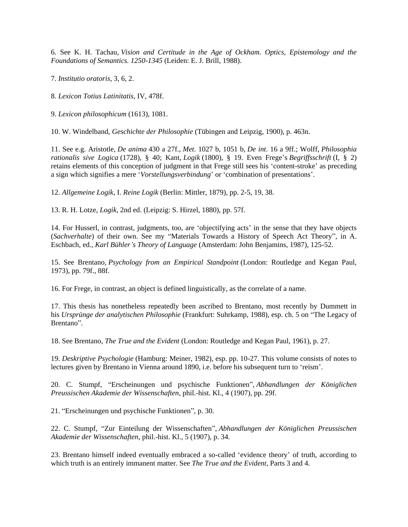6. See K. H. Tachau, *Vision and Certitude in the Age of Ockham. Optics, Epistemology and the Foundations of Semantics. 1250-1345* (Leiden: E. J. Brill, 1988).

7. *Institutio oratoris*, 3, 6, 2.

8. *Lexicon Totius Latinitatis*, IV, 478f.

9. *Lexicon philosophicum* (1613), 1081.

10. W. Windelband, *Geschichte der Philosophie* (Tübingen and Leipzig, 1900), p. 463n.

11. See e.g. Aristotle, *De anima* 430 a 27f., *Met*. 1027 b, 1051 b, *De int*. 16 a 9ff.; Wolff, *Philosophia rationalis sive Logica* (1728), § 40; Kant, *Logik* (1800), § 19. Even Frege's *Begriffsschrift* (I, § 2) retains elements of this conception of judgment in that Frege still sees his 'content-stroke' as preceding a sign which signifies a mere '*Vorstellungsverbindung*' or 'combination of presentations'.

12. *Allgemeine Logik*, I. *Reine Logik* (Berlin: Mittler, 1879), pp. 2-5, 19, 38.

13. R. H. Lotze, *Logik*, 2nd ed. (Leipzig: S. Hirzel, 1880), pp. 57f.

14. For Husserl, in contrast, judgments, too, are 'objectifying acts' in the sense that they have objects (*Sachverhalte*) of their own. See my "Materials Towards a History of Speech Act Theory", in A. Eschbach, ed., *Karl Bühler's Theory of Language* (Amsterdam: John Benjamins, 1987), 125-52.

15. See Brentano, *Psychology from an Empirical Standpoint* (London: Routledge and Kegan Paul, 1973), pp. 79f., 88f.

16. For Frege, in contrast, an object is defined linguistically, as the correlate of a name.

17. This thesis has nonetheless repeatedly been ascribed to Brentano, most recently by Dummett in his *Ursprünge der analytischen Philosophie* (Frankfurt: Suhrkamp, 1988), esp. ch. 5 on "The Legacy of Brentano".

18. See Brentano, *The True and the Evident* (London: Routledge and Kegan Paul, 1961), p. 27.

19. *Deskriptive Psychologie* (Hamburg: Meiner, 1982), esp. pp. 10-27. This volume consists of notes to lectures given by Brentano in Vienna around 1890, i.e. before his subsequent turn to 'reism'.

20. C. Stumpf, "Erscheinungen und psychische Funktionen", *Abhandlungen der Königlichen Preussischen Akademie der Wissenschaften*, phil.-hist. Kl., 4 (1907), pp. 29f.

21. "Erscheinungen und psychische Funktionen", p. 30.

22. C. Stumpf, "Zur Einteilung der Wissenschaften", *Abhandlungen der Königlichen Preussischen Akademie der Wissenschaften*, phil.-hist. Kl., 5 (1907), p. 34.

23. Brentano himself indeed eventually embraced a so-called 'evidence theory' of truth, according to which truth is an entirely immanent matter. See *The True and the Evident*, Parts 3 and 4.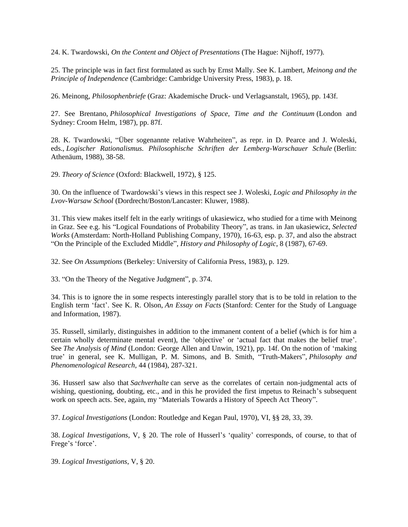24. K. Twardowski, *On the Content and Object of Presentations* (The Hague: Nijhoff, 1977).

25. The principle was in fact first formulated as such by Ernst Mally. See K. Lambert, *Meinong and the Principle of Independence* (Cambridge: Cambridge University Press, 1983), p. 18.

26. Meinong, *Philosophenbriefe* (Graz: Akademische Druck- und Verlagsanstalt, 1965), pp. 143f.

27. See Brentano, *Philosophical Investigations of Space, Time and the Continuum* (London and Sydney: Croom Helm, 1987), pp. 87f.

28. K. Twardowski, "Über sogenannte relative Wahrheiten", as repr. in D. Pearce and J. Woleski, eds., *Logischer Rationalismus. Philosophische Schriften der Lemberg-Warschauer Schule* (Berlin: Athenäum, 1988), 38-58.

29. *Theory of Science* (Oxford: Blackwell, 1972), § 125.

30. On the influence of Twardowski's views in this respect see J. Woleski, *Logic and Philosophy in the Lvov-Warsaw School* (Dordrecht/Boston/Lancaster: Kluwer, 1988).

31. This view makes itself felt in the early writings of ukasiewicz, who studied for a time with Meinong in Graz. See e.g. his "Logical Foundations of Probability Theory", as trans. in Jan ukasiewicz, *Selected Works* (Amsterdam: North-Holland Publishing Company, 1970), 16-63, esp. p. 37, and also the abstract "On the Principle of the Excluded Middle", *History and Philosophy of Logic*, 8 (1987), 67-69.

32. See *On Assumptions* (Berkeley: University of California Press, 1983), p. 129.

33. "On the Theory of the Negative Judgment", p. 374.

34. This is to ignore the in some respects interestingly parallel story that is to be told in relation to the English term 'fact'. See K. R. Olson, *An Essay on Facts* (Stanford: Center for the Study of Language and Information, 1987).

35. Russell, similarly, distinguishes in addition to the immanent content of a belief (which is for him a certain wholly determinate mental event), the 'objective' or 'actual fact that makes the belief true'. See *The Analysis of Mind* (London: George Allen and Unwin, 1921), pp. 14f. On the notion of 'making true' in general, see K. Mulligan, P. M. Simons, and B. Smith, "Truth-Makers", *Philosophy and Phenomenological Research*, 44 (1984), 287-321.

36. Husserl saw also that *Sachverhalte* can serve as the correlates of certain non-judgmental acts of wishing, questioning, doubting, etc., and in this he provided the first impetus to Reinach's subsequent work on speech acts. See, again, my "Materials Towards a History of Speech Act Theory".

37. *Logical Investigations* (London: Routledge and Kegan Paul, 1970), VI, §§ 28, 33, 39.

38. *Logical Investigations*, V, § 20. The role of Husserl's 'quality' corresponds, of course, to that of Frege's 'force'.

39. *Logical Investigations*, V, § 20.